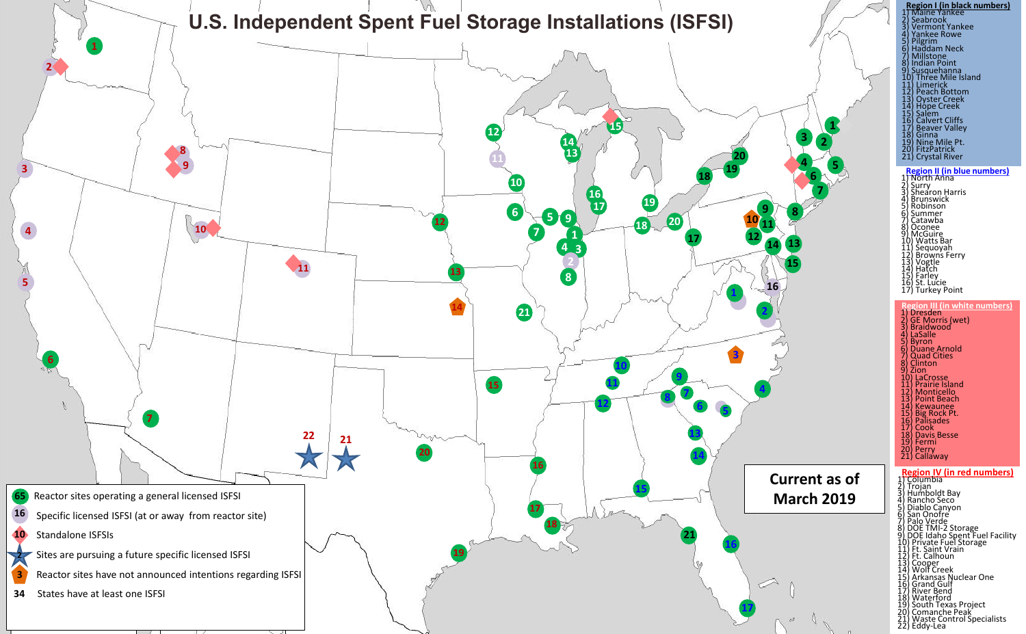

| 1<br>3<br>$\overline{2}$<br>4<br>5<br>6<br>9<br>8 | Region I (in black numbers)<br>) Maine Yankee<br>Seabrook<br>$\frac{2}{3}$<br><b>Vermont Yankee</b><br>4<br>5<br>6<br>Pankee Rowe<br>Pilgrim<br>Haddam Neck<br><b>Millstone</b><br>7<br><b>Indian Point</b><br>8<br>9) Susquehanna<br>10) Three Mile Island<br>11) Limerick<br>12) Peach Bottom<br>13) Oyster Creek<br>14) Hope Creek<br>15) Salem<br>16) Calvert Cliffs<br>17) Beaver Valley<br>18) Ginna<br>19) Nine Mile Pt.<br>20) FitzPatrick<br>21) Crystal River<br><b>Region II (in blue numbers)</b><br>) North Anna<br>1) North Anna<br>2) Shearon Ha<br>4) Brunswick<br>5) Robinson<br>6) Summer<br>7) Catawba<br>8) Oconee<br>9) McGuire<br>9) McGuire<br>11) Sequoyah<br>Surry<br>Shearon Harris |
|---------------------------------------------------|---------------------------------------------------------------------------------------------------------------------------------------------------------------------------------------------------------------------------------------------------------------------------------------------------------------------------------------------------------------------------------------------------------------------------------------------------------------------------------------------------------------------------------------------------------------------------------------------------------------------------------------------------------------------------------------------------------------|
| 10<br>11<br>12<br>13<br>14<br>15<br>16            | 10) Sequoyah<br>12) Browns Ferry<br>13) Vogtle<br>14) Hatch<br>15) Earley<br>16) St. Lucie<br>17) Turkey Point                                                                                                                                                                                                                                                                                                                                                                                                                                                                                                                                                                                                |
| 4                                                 | <b>Region III (in white numbers)</b><br>1 Dresden<br>2) GE Morris (wet)<br>3) Braidwood<br>4) LaSalle<br>5) Byron<br>6) Duane Arnold<br>7) Quad Cities<br>8) Clinton<br>(و<br>Zion<br>10) LaCrosse<br>11) Prairie Island<br>12) Monticello<br>13) Point Beach<br>14) Kewaunee<br>15) Big Rock Pt.<br>16) Palisades<br>17) Cook<br>18) Davis Besse<br>19) Fermi<br>20) Perry<br>21) Callaway                                                                                                                                                                                                                                                                                                                   |
| <b>Current as of</b><br><b>March 2019</b>         | <u>Region IV (in red numbers)</u><br>Columbia                                                                                                                                                                                                                                                                                                                                                                                                                                                                                                                                                                                                                                                                 |
|                                                   | 1) Columbia<br>2) Trojan<br>4) Rancho Seco<br>5) Diablo Canyon<br>6) San Onofre<br>7) Palo Verde<br>8) DOE TMI-2 Storage<br>9) DOE Idaho Spent Fuel Facility<br>10) Private Fuel Storage<br>11) Ft. Saint Vrain<br>12) Ft. Calhoun<br>Ft. Calhoun<br>13) Cooper<br>14) Wolf Creek<br>14) Wolf Cleek<br>16) Grand Gulf<br>17) River Bend<br>18) Waterford<br>19) South Texas Project<br>20) Comanche Peak<br>21) Waste Control Specialists<br>21) Maste Control Specialists<br>22) Eddy-Lea                                                                                                                                                                                                                    |